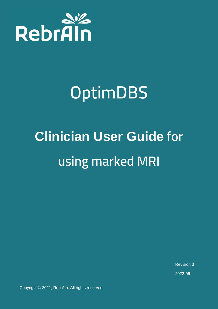

# **OptimDBS**

# **Clinician User Guide for using marked MRI**

Revision 3

2022-06

Copyright © 2021, RebrAIn. All rights reserved.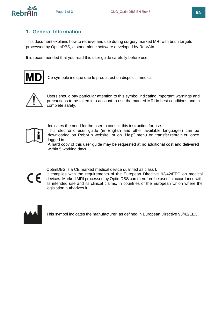# **1. General Information**

This document explains how to retrieve and use during surgery marked MRI with brain targets processed by OptimDBS, a stand-alone software developed by RebrAIn.

It is recommended that you read this user guide carefully before use.



Ce symbole indique que le produit est un dispositif médical



Users should pay particular attention to this symbol indicating important warnings and precautions to be taken into account to use the marked MRI in best conditions and in complete safety.



Indicates the need for the user to consult this instruction for use.

This electronic user guide (in English and other available languages) can be downloaded on [RebrAIn website;](https://rebrain.eu/ifu/) or on "Help" menu on [transfer.rebrain.eu](https://transfer.rebrain.eu/login) once logged in.

A hard copy of this user guide may be requested at no additional cost and delivered within 5 working days.



OptimDBS is a CE marked medical device qualified as class I.

It complies with the requirements of the European Directive 93/42/EEC on medical devices. Marked MRI processed by OptimDBS can therefore be used in accordance with its intended use and its clinical claims, in countries of the European Union where the legislation authorizes it.



This symbol indicates the manufacturer, as defined in European Directive 93/42/EEC.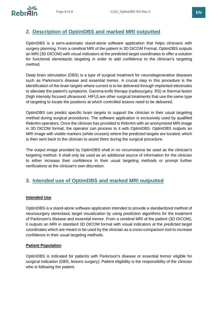

# **2. Description of OptimDBS and marked MRI outputted**

OptimDBS is a semi-automatic stand-alone software application that helps clinicians with surgery planning. From a cerebral MRI of the patient in 3D DICOM Format, OptimDBS outputs an MRI (3D DICOM) with visual indicators at the predicted target coordinates to offer a solution for functional stereotactic targeting in order to add confidence to the clinician's targeting method.

Deep brain stimulation (DBS) is a type of surgical treatment for neurodegenerative diseases such as Parkinson's disease and essential tremor. A crucial step in this procedure is the identification of the brain targets where current is to be delivered through implanted electrodes to alleviate the patient's symptoms. Gamma-knife therapy (radiosurgery, RS) or thermal lesion (high intensity focused ultrasound, HIFU) are other surgical treatments that use the same type of targeting to locate the positions at which controlled lesions need to be delivered.

OptimDBS can predict specific brain targets to support the clinician in their usual targeting method during surgical procedures. The software application is exclusively used by qualified RebrAIn operators. Once the clinician has provided to RebrAIn with an anonymized MRI image in 3D DICOM format, the operator can process to it with OptimDBS. OptimDBS outputs an MRI image with visible markers (white crosses) where the predicted targets are located, which is then sent back to the clinician to assist them during the surgical procedure.

The output image provided by OptimDBS shall in no circumstance be used as the clinician's targeting method. It shall only be used as an additional source of information for the clinician to either increase their confidence in their usual targeting methods or prompt further verifications at the clinician's own discretion.

## **3. Intended use of OptimDBS and marked MRI outputted**

### **Intended Use**

OptimDBS is a stand-alone software application intended to provide a standardized method of neurosurgery stereotaxic target visualization by using prediction algorithms for the treatment of Parkinson's disease and essential tremor. From a cerebral MRI of the patient (3D DICOM), it outputs an MRI in standard 3D DICOM format with visual indicators at the predicted target coordinates which are meant to be used by the clinician as a cross-comparison tool to increase confidence in their usual targeting methods.

### **Patient Population**

OptimDBS is indicated for patients with Parkinson's disease or essential tremor eligible for surgical indication (DBS, lesions surgery). Patient eligibility is the responsibility of the clinician who is following the patient.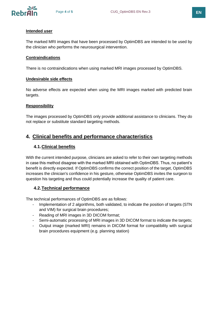

#### **Intended user**

The marked MRI images that have been processed by OptimDBS are intended to be used by the clinician who performs the neurosurgical intervention.

#### **Contraindications**

There is no contraindications when using marked MRI images processed by OptimDBS.

#### **Undesirable side effects**

No adverse effects are expected when using the MRI images marked with predicted brain targets.

## **Responsibility**

The images processed by OptimDBS only provide additional assistance to clinicians. They do not replace or substitute standard targeting methods.

## **4. Clinical benefits and performance characteristics**

## **4.1.Clinical benefits**

With the current intended purpose, clinicians are asked to refer to their own targeting methods in case this method disagree with the marked MRI obtained with OptimDBS. Thus, no patient's benefit is directly expected. If OptimDBS confirms the correct position of the target, OptimDBS increases the clinician's confidence in his gesture, otherwise OptimDBS invites the surgeon to question his targeting and thus could potentially increase the quality of patient care.

### **4.2.Technical performance**

The technical performances of OptimDBS are as follows:

- Implementation of 2 algorithms, both validated, to indicate the position of targets (STN and VIM) for surgical brain procedures;
- Reading of MRI images in 3D DICOM format;
- Semi-automatic processing of MRI images in 3D DICOM format to indicate the targets;
- Output image (marked MRI) remains in DICOM format for compatibility with surgical brain procedures equipment (e.g. planning station)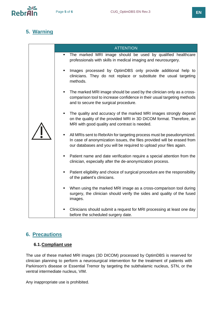

# **5. Warning**

|  | <b>ATTENTION</b>                                                                                                                                                                                                            |
|--|-----------------------------------------------------------------------------------------------------------------------------------------------------------------------------------------------------------------------------|
|  | The marked MRI image should be used by qualified healthcare<br>professionals with skills in medical imaging and neurosurgery.                                                                                               |
|  | Images processed by OptimDBS only provide additional help to<br>٠<br>clinicians. They do not replace or substitute the usual targeting<br>methods.                                                                          |
|  | The marked MRI image should be used by the clinician only as a cross-<br>$\blacksquare$<br>comparison tool to increase confidence in their usual targeting methods<br>and to secure the surgical procedure.                 |
|  | The quality and accuracy of the marked MRI images strongly depend<br>٠<br>on the quality of the provided MRI in 3D DICOM format. Therefore, an<br>MRI with good quality and contrast is needed.                             |
|  | All MRIs sent to RebrAIn for targeting process must be pseudonymized.<br>٠<br>In case of anonymization issues, the files provided will be erased from<br>our databases and you will be required to upload your files again. |
|  | Patient name and date verification require a special attention from the<br>٠<br>clinician, especially after the de-anonymization process.                                                                                   |
|  | Patient eligibility and choice of surgical procedure are the responsibility<br>٠<br>of the patient's clinicians.                                                                                                            |
|  | When using the marked MRI image as a cross-comparison tool during<br>٠<br>surgery, the clinician should verify the sides and quality of the fused<br>images.                                                                |
|  | Clinicians should submit a request for MRI processing at least one day<br>٠<br>before the scheduled surgery date.                                                                                                           |

# **6. Precautions**

## **6.1.Compliant use**

The use of these marked MRI images (3D DICOM) processed by OptimDBS is reserved for clinician planning to perform a neurosurgical intervention for the treatment of patients with Parkinson's disease or Essential Tremor by targeting the subthalamic nucleus, STN, or the ventral intermediate nucleus, VIM.

Any inappropriate use is prohibited.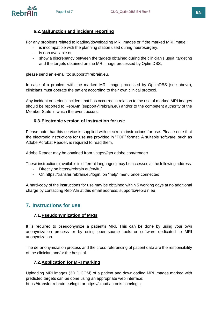

## **6.2.Malfunction and incident reporting**

For any problems related to loading/downloading MRI images or if the marked MRI image:

- is incompatible with the planning station used during neurosurgery.
- is non available or;
- show a discrepancy between the targets obtained during the clinician's usual targeting and the targets obtained on the MRI image processed by OptimDBS,

please send an e-mail to: support@rebrain.eu.

In case of a problem with the marked MRI image processed by OptimDBS (see above), clinicians must operate the patient according to their own clinical protocol.

Any incident or serious incident that has occurred in relation to the use of marked MRI images should be reported to RebrAIn (support@rebrain.eu) and/or to the competent authority of the Member State in which the event occurs.

## **6.3.Electronic version of instruction for use**

Please note that this service is supplied with electronic instructions for use. Please note that the electronic instructions for use are provided in "PDF" format. A suitable software, such as Adobe Acrobat Reader, is required to read them.

Adobe Reader may be obtained from : <https://get.adobe.com/reader/>

These instructions (available in different languages) may be accessed at the following address:

- Directly on https://rebrain.eu/en/ifu/
- On [https://transfer.rebrain.eu/login,](https://transfer.rebrain.eu/login) on "help" menu once connected

A hard-copy of the instructions for use may be obtained within 5 working days at no additional charge by contacting RebrAIn at this email address: support@rebrain.eu

## **7. Instructions for use**

## **7.1.Pseudonymization of MRIs**

It is required to pseudonymize a patient's MRI. This can be done by using your own anonymization process or by using open-source tools or software dedicated to MRI anonymization.

The de-anonymization process and the cross-referencing of patient data are the responsibility of the clinician and/or the hospital.

## **7.2.Application for MRI marking**

Uploading MRI images (3D DICOM) of a patient and downloading MRI images marked with predicted targets can be done using an appropriate web interface: <https://transfer.rebrain.eu/login> or [https://cloud.acronis.com/login.](https://cloud.acronis.com/login)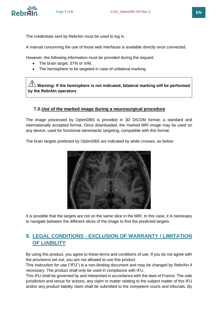

The credentials sent by RebrAIn must be used to log in.

A manual concerning the use of those web interfaces is available directly once connected.

However, the following information must be provided during the request:

- The brain target: STN or VIM;
- The hemisphere to be targeted in case of unilateral marking.

 $\frac{\partial f}{\partial t}$  Warning: If the hemisphere is not indicated, bilateral marking will be performed **by the RebrAIn operators** 

## **7.3.Use of the marked image during a neurosurgical procedure**

The image processed by OptimDBS is provided in 3D DICOM format, a standard and internationally accepted format. Once downloaded, the marked MRI image may be used on any device, used for functional stereotactic targeting, compatible with this format.

The brain targets predicted by OptimDBS are indicated by white crosses, as below:



It is possible that the targets are not on the same slice in the MRI. In this case, it is necessary to navigate between the different slices of the image to find the predicted targets.

# **8. LEGAL CONDITIONS - EXCLUSION OF WARRANTY / LIMITATION OF LIABILITY**

By using this product, you agree to these terms and conditions of use. If you do not agree with the provisions set out, you are not allowed to use this product.

This instruction for use ("IFU") is a non-binding document and may be changed by RebrAIn if necessary. The product shall only be used in compliance with IFU.

This IFU shall be governed by and interpreted in accordance with the laws of France. The sole jurisdiction and venue for actions, any claim or matter relating to the subject matter of this IFU and/or any product liability claim shall be submitted to the competent courts and tribunals. By